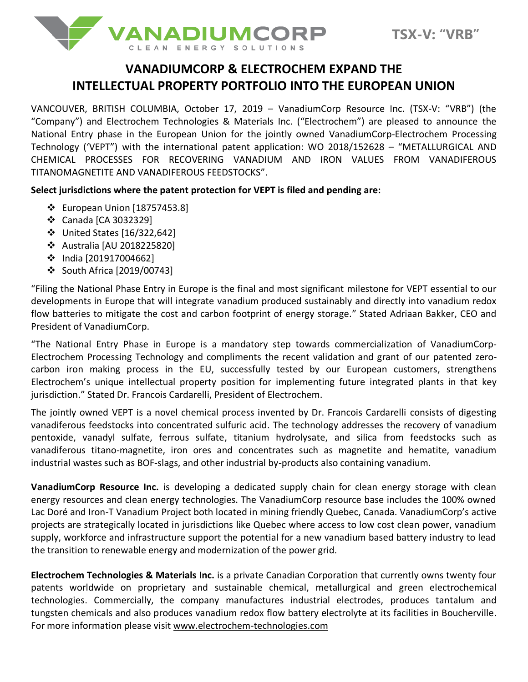

## **VANADIUMCORP & ELECTROCHEM EXPAND THE INTELLECTUAL PROPERTY PORTFOLIO INTO THE EUROPEAN UNION**

VANCOUVER, BRITISH COLUMBIA, October 17, 2019 – VanadiumCorp Resource Inc. (TSX-V: "VRB") (the "Company") and Electrochem Technologies & Materials Inc. ("Electrochem") are pleased to announce the National Entry phase in the European Union for the jointly owned VanadiumCorp-Electrochem Processing Technology ('VEPT") with the international patent application: WO 2018/152628 – "METALLURGICAL AND CHEMICAL PROCESSES FOR RECOVERING VANADIUM AND IRON VALUES FROM VANADIFEROUS TITANOMAGNETITE AND VANADIFEROUS FEEDSTOCKS".

**Select jurisdictions where the patent protection for VEPT is filed and pending are:**

- ❖ European Union [18757453.8]
- ❖ Canada [CA 3032329]
- ❖ United States [16/322,642]
- ❖ Australia [AU 2018225820]
- ❖ India [201917004662]
- ❖ South Africa [2019/00743]

"Filing the National Phase Entry in Europe is the final and most significant milestone for VEPT essential to our developments in Europe that will integrate vanadium produced sustainably and directly into vanadium redox flow batteries to mitigate the cost and carbon footprint of energy storage." Stated Adriaan Bakker, CEO and President of VanadiumCorp.

"The National Entry Phase in Europe is a mandatory step towards commercialization of VanadiumCorp-Electrochem Processing Technology and compliments the recent validation and grant of our patented zerocarbon iron making process in the EU, successfully tested by our European customers, strengthens Electrochem's unique intellectual property position for implementing future integrated plants in that key jurisdiction." Stated Dr. Francois Cardarelli, President of Electrochem.

The jointly owned VEPT is a novel chemical process invented by Dr. Francois Cardarelli consists of digesting vanadiferous feedstocks into concentrated sulfuric acid. The technology addresses the recovery of vanadium pentoxide, vanadyl sulfate, ferrous sulfate, titanium hydrolysate, and silica from feedstocks such as vanadiferous titano-magnetite, iron ores and concentrates such as magnetite and hematite, vanadium industrial wastes such as BOF-slags, and other industrial by-products also containing vanadium.

**VanadiumCorp Resource Inc.** is developing a dedicated supply chain for clean energy storage with clean energy resources and clean energy technologies. The VanadiumCorp resource base includes the 100% owned Lac Doré and Iron-T Vanadium Project both located in mining friendly Quebec, Canada. VanadiumCorp's active projects are strategically located in jurisdictions like Quebec where access to low cost clean power, vanadium supply, workforce and infrastructure support the potential for a new vanadium based battery industry to lead the transition to renewable energy and modernization of the power grid.

**Electrochem Technologies & Materials Inc.** is a private Canadian Corporation that currently owns twenty four patents worldwide on proprietary and sustainable chemical, metallurgical and green electrochemical technologies. Commercially, the company manufactures industrial electrodes, produces tantalum and tungsten chemicals and also produces vanadium redox flow battery electrolyte at its facilities in Boucherville. For more information please visi[t www.electrochem-technologies.com](http://www.electrochem-technologies.com/)